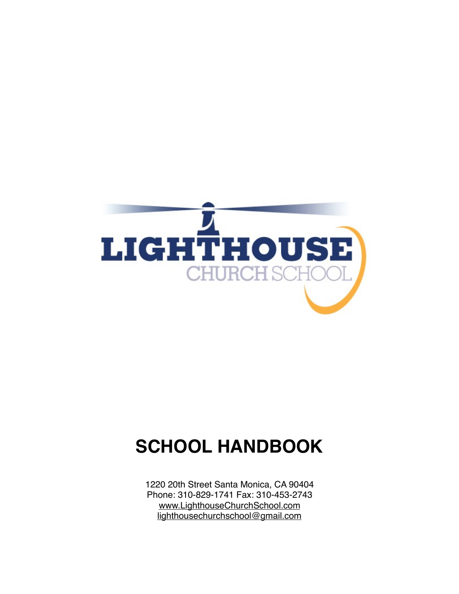

# **SCHOOL HANDBOOK**

1220 20th Street Santa Monica, CA 90404 Phone: 310-829-1741 Fax: 310-453-2743 [www.LighthouseChurchSchool.com](http://www.LighthouseChurchSchool.com) [lighthousechurchschool@gmail.com](mailto:lighthousechurchschool@gmail.com)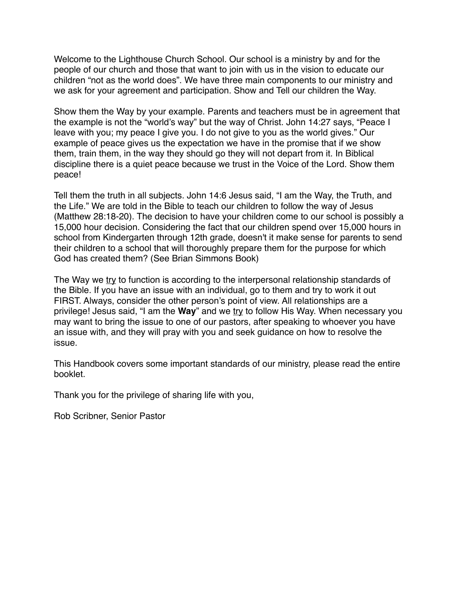Welcome to the Lighthouse Church School. Our school is a ministry by and for the people of our church and those that want to join with us in the vision to educate our children "not as the world does". We have three main components to our ministry and we ask for your agreement and participation. Show and Tell our children the Way.

Show them the Way by your example. Parents and teachers must be in agreement that the example is not the "world's way" but the way of Christ. John 14:27 says, "Peace I leave with you; my peace I give you. I do not give to you as the world gives." Our example of peace gives us the expectation we have in the promise that if we show them, train them, in the way they should go they will not depart from it. In Biblical discipline there is a quiet peace because we trust in the Voice of the Lord. Show them peace!

Tell them the truth in all subjects. John 14:6 Jesus said, "I am the Way, the Truth, and the Life." We are told in the Bible to teach our children to follow the way of Jesus (Matthew 28:18-20). The decision to have your children come to our school is possibly a 15,000 hour decision. Considering the fact that our children spend over 15,000 hours in school from Kindergarten through 12th grade, doesn't it make sense for parents to send their children to a school that will thoroughly prepare them for the purpose for which God has created them? (See Brian Simmons Book)

The Way we try to function is according to the interpersonal relationship standards of the Bible. If you have an issue with an individual, go to them and try to work it out FIRST. Always, consider the other person's point of view. All relationships are a privilege! Jesus said, "I am the **Way**" and we try to follow His Way. When necessary you may want to bring the issue to one of our pastors, after speaking to whoever you have an issue with, and they will pray with you and seek guidance on how to resolve the issue.

This Handbook covers some important standards of our ministry, please read the entire booklet.

Thank you for the privilege of sharing life with you,

Rob Scribner, Senior Pastor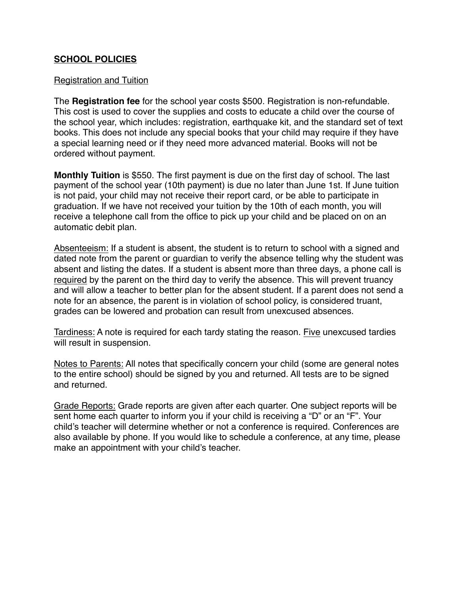#### **SCHOOL POLICIES**

#### Registration and Tuition

The **Registration fee** for the school year costs \$500. Registration is non-refundable. This cost is used to cover the supplies and costs to educate a child over the course of the school year, which includes: registration, earthquake kit, and the standard set of text books. This does not include any special books that your child may require if they have a special learning need or if they need more advanced material. Books will not be ordered without payment.

**Monthly Tuition** is \$550. The first payment is due on the first day of school. The last payment of the school year (10th payment) is due no later than June 1st. If June tuition is not paid, your child may not receive their report card, or be able to participate in graduation. If we have not received your tuition by the 10th of each month, you will receive a telephone call from the office to pick up your child and be placed on on an automatic debit plan.

Absenteeism: If a student is absent, the student is to return to school with a signed and dated note from the parent or guardian to verify the absence telling why the student was absent and listing the dates. If a student is absent more than three days, a phone call is required by the parent on the third day to verify the absence. This will prevent truancy and will allow a teacher to better plan for the absent student. If a parent does not send a note for an absence, the parent is in violation of school policy, is considered truant, grades can be lowered and probation can result from unexcused absences.

Tardiness: A note is required for each tardy stating the reason. Five unexcused tardies will result in suspension.

Notes to Parents: All notes that specifically concern your child (some are general notes to the entire school) should be signed by you and returned. All tests are to be signed and returned.

Grade Reports: Grade reports are given after each quarter. One subject reports will be sent home each quarter to inform you if your child is receiving a "D" or an "F". Your child's teacher will determine whether or not a conference is required. Conferences are also available by phone. If you would like to schedule a conference, at any time, please make an appointment with your child's teacher.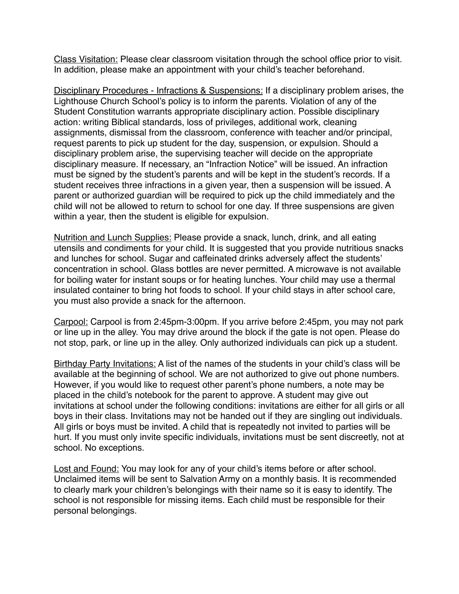Class Visitation: Please clear classroom visitation through the school office prior to visit. In addition, please make an appointment with your child's teacher beforehand.

Disciplinary Procedures - Infractions & Suspensions: If a disciplinary problem arises, the Lighthouse Church School's policy is to inform the parents. Violation of any of the Student Constitution warrants appropriate disciplinary action. Possible disciplinary action: writing Biblical standards, loss of privileges, additional work, cleaning assignments, dismissal from the classroom, conference with teacher and/or principal, request parents to pick up student for the day, suspension, or expulsion. Should a disciplinary problem arise, the supervising teacher will decide on the appropriate disciplinary measure. If necessary, an "Infraction Notice" will be issued. An infraction must be signed by the student's parents and will be kept in the student's records. If a student receives three infractions in a given year, then a suspension will be issued. A parent or authorized guardian will be required to pick up the child immediately and the child will not be allowed to return to school for one day. If three suspensions are given within a year, then the student is eligible for expulsion.

Nutrition and Lunch Supplies: Please provide a snack, lunch, drink, and all eating utensils and condiments for your child. It is suggested that you provide nutritious snacks and lunches for school. Sugar and caffeinated drinks adversely affect the students' concentration in school. Glass bottles are never permitted. A microwave is not available for boiling water for instant soups or for heating lunches. Your child may use a thermal insulated container to bring hot foods to school. If your child stays in after school care, you must also provide a snack for the afternoon.

Carpool: Carpool is from 2:45pm-3:00pm. If you arrive before 2:45pm, you may not park or line up in the alley. You may drive around the block if the gate is not open. Please do not stop, park, or line up in the alley. Only authorized individuals can pick up a student.

Birthday Party Invitations: A list of the names of the students in your child's class will be available at the beginning of school. We are not authorized to give out phone numbers. However, if you would like to request other parent's phone numbers, a note may be placed in the child's notebook for the parent to approve. A student may give out invitations at school under the following conditions: invitations are either for all girls or all boys in their class. Invitations may not be handed out if they are singling out individuals. All girls or boys must be invited. A child that is repeatedly not invited to parties will be hurt. If you must only invite specific individuals, invitations must be sent discreetly, not at school. No exceptions.

Lost and Found: You may look for any of your child's items before or after school. Unclaimed items will be sent to Salvation Army on a monthly basis. It is recommended to clearly mark your children's belongings with their name so it is easy to identify. The school is not responsible for missing items. Each child must be responsible for their personal belongings.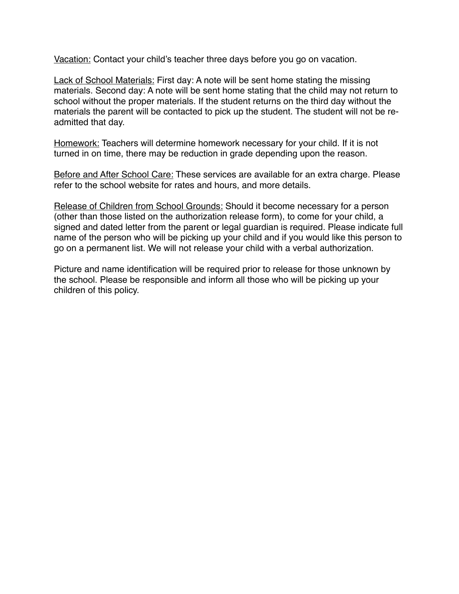Vacation: Contact your child's teacher three days before you go on vacation.

Lack of School Materials: First day: A note will be sent home stating the missing materials. Second day: A note will be sent home stating that the child may not return to school without the proper materials. If the student returns on the third day without the materials the parent will be contacted to pick up the student. The student will not be readmitted that day.

Homework: Teachers will determine homework necessary for your child. If it is not turned in on time, there may be reduction in grade depending upon the reason.

Before and After School Care: These services are available for an extra charge. Please refer to the school website for rates and hours, and more details.

Release of Children from School Grounds: Should it become necessary for a person (other than those listed on the authorization release form), to come for your child, a signed and dated letter from the parent or legal guardian is required. Please indicate full name of the person who will be picking up your child and if you would like this person to go on a permanent list. We will not release your child with a verbal authorization.

Picture and name identification will be required prior to release for those unknown by the school. Please be responsible and inform all those who will be picking up your children of this policy.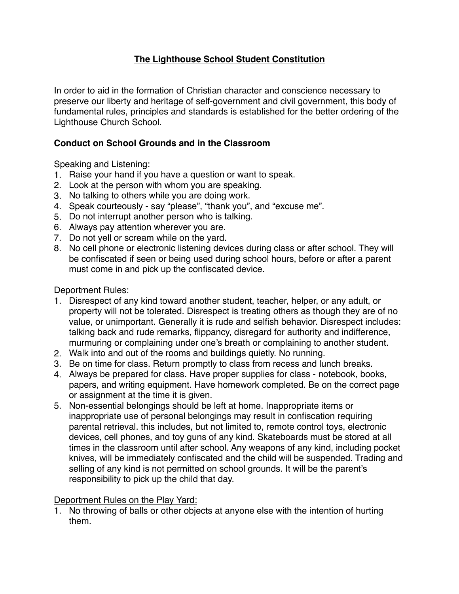# **The Lighthouse School Student Constitution**

In order to aid in the formation of Christian character and conscience necessary to preserve our liberty and heritage of self-government and civil government, this body of fundamental rules, principles and standards is established for the better ordering of the Lighthouse Church School.

## **Conduct on School Grounds and in the Classroom**

Speaking and Listening:

- 1. Raise your hand if you have a question or want to speak.
- 2. Look at the person with whom you are speaking.
- 3. No talking to others while you are doing work.
- 4. Speak courteously say "please", "thank you", and "excuse me".
- 5. Do not interrupt another person who is talking.
- 6. Always pay attention wherever you are.
- 7. Do not yell or scream while on the yard.
- 8. No cell phone or electronic listening devices during class or after school. They will be confiscated if seen or being used during school hours, before or after a parent must come in and pick up the confiscated device.

#### Deportment Rules:

- 1. Disrespect of any kind toward another student, teacher, helper, or any adult, or property will not be tolerated. Disrespect is treating others as though they are of no value, or unimportant. Generally it is rude and selfish behavior. Disrespect includes: talking back and rude remarks, flippancy, disregard for authority and indifference, murmuring or complaining under one's breath or complaining to another student.
- 2. Walk into and out of the rooms and buildings quietly. No running.
- 3. Be on time for class. Return promptly to class from recess and lunch breaks.
- 4. Always be prepared for class. Have proper supplies for class notebook, books, papers, and writing equipment. Have homework completed. Be on the correct page or assignment at the time it is given.
- 5. Non-essential belongings should be left at home. Inappropriate items or inappropriate use of personal belongings may result in confiscation requiring parental retrieval. this includes, but not limited to, remote control toys, electronic devices, cell phones, and toy guns of any kind. Skateboards must be stored at all times in the classroom until after school. Any weapons of any kind, including pocket knives, will be immediately confiscated and the child will be suspended. Trading and selling of any kind is not permitted on school grounds. It will be the parent's responsibility to pick up the child that day.

#### Deportment Rules on the Play Yard:

1. No throwing of balls or other objects at anyone else with the intention of hurting them.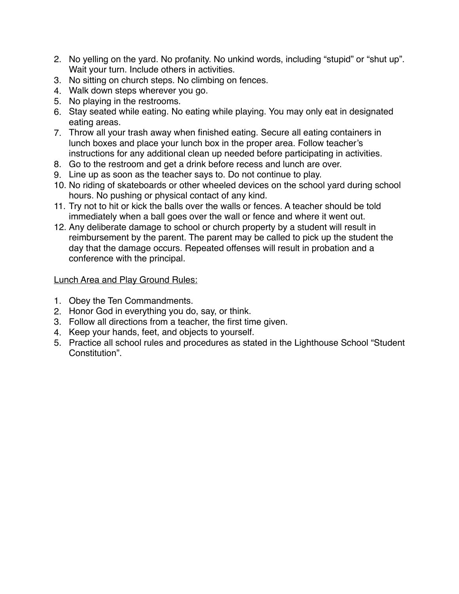- 2. No yelling on the yard. No profanity. No unkind words, including "stupid" or "shut up". Wait your turn. Include others in activities.
- 3. No sitting on church steps. No climbing on fences.
- 4. Walk down steps wherever you go.
- 5. No playing in the restrooms.
- 6. Stay seated while eating. No eating while playing. You may only eat in designated eating areas.
- 7. Throw all your trash away when finished eating. Secure all eating containers in lunch boxes and place your lunch box in the proper area. Follow teacher's instructions for any additional clean up needed before participating in activities.
- 8. Go to the restroom and get a drink before recess and lunch are over.
- 9. Line up as soon as the teacher says to. Do not continue to play.
- 10. No riding of skateboards or other wheeled devices on the school yard during school hours. No pushing or physical contact of any kind.
- 11. Try not to hit or kick the balls over the walls or fences. A teacher should be told immediately when a ball goes over the wall or fence and where it went out.
- 12. Any deliberate damage to school or church property by a student will result in reimbursement by the parent. The parent may be called to pick up the student the day that the damage occurs. Repeated offenses will result in probation and a conference with the principal.

## Lunch Area and Play Ground Rules:

- 1. Obey the Ten Commandments.
- 2. Honor God in everything you do, say, or think.
- 3. Follow all directions from a teacher, the first time given.
- 4. Keep your hands, feet, and objects to yourself.
- 5. Practice all school rules and procedures as stated in the Lighthouse School "Student Constitution".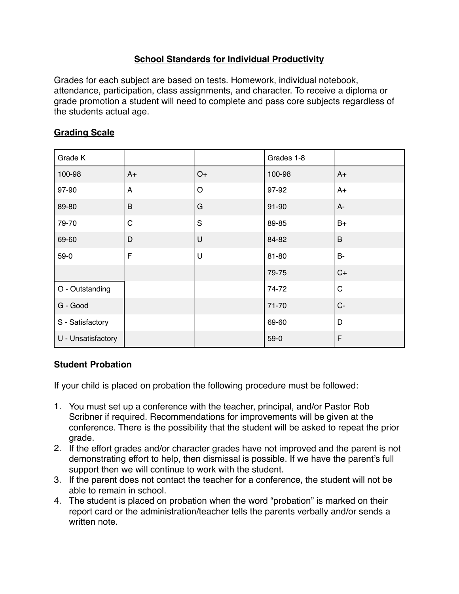# **School Standards for Individual Productivity**

Grades for each subject are based on tests. Homework, individual notebook, attendance, participation, class assignments, and character. To receive a diploma or grade promotion a student will need to complete and pass core subjects regardless of the students actual age.

# **Grading Scale**

| Grade K            |             |             | Grades 1-8 |             |
|--------------------|-------------|-------------|------------|-------------|
| 100-98             | $A+$        | $O+$        | 100-98     | $A+$        |
| 97-90              | A           | $\circ$     | 97-92      | $A+$        |
| 89-80              | B           | G           | 91-90      | $A -$       |
| 79-70              | $\mathsf C$ | $\mathbf S$ | 89-85      | $B+$        |
| 69-60              | D           | U           | 84-82      | $\sf B$     |
| $59-0$             | $\mathsf F$ | U           | 81-80      | <b>B-</b>   |
|                    |             |             | 79-75      | $C+$        |
| O - Outstanding    |             |             | 74-72      | $\mathsf C$ |
| G - Good           |             |             | 71-70      | $C -$       |
| S - Satisfactory   |             |             | 69-60      | D           |
| U - Unsatisfactory |             |             | $59-0$     | F           |

## **Student Probation**

If your child is placed on probation the following procedure must be followed:

- 1. You must set up a conference with the teacher, principal, and/or Pastor Rob Scribner if required. Recommendations for improvements will be given at the conference. There is the possibility that the student will be asked to repeat the prior grade.
- 2. If the effort grades and/or character grades have not improved and the parent is not demonstrating effort to help, then dismissal is possible. If we have the parent's full support then we will continue to work with the student.
- 3. If the parent does not contact the teacher for a conference, the student will not be able to remain in school.
- 4. The student is placed on probation when the word "probation" is marked on their report card or the administration/teacher tells the parents verbally and/or sends a written note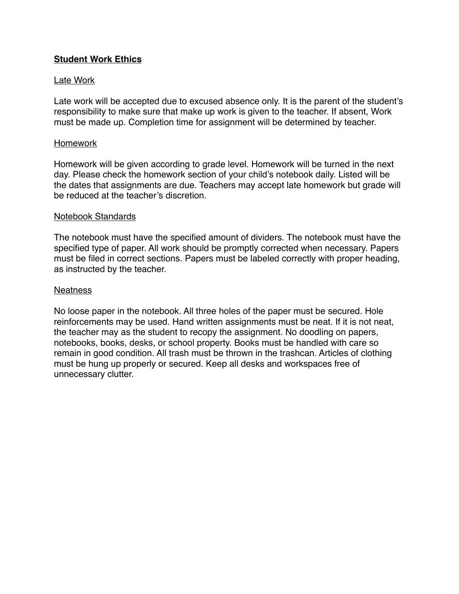#### **Student Work Ethics**

#### Late Work

Late work will be accepted due to excused absence only. It is the parent of the student's responsibility to make sure that make up work is given to the teacher. If absent, Work must be made up. Completion time for assignment will be determined by teacher.

#### Homework

Homework will be given according to grade level. Homework will be turned in the next day. Please check the homework section of your child's notebook daily. Listed will be the dates that assignments are due. Teachers may accept late homework but grade will be reduced at the teacher's discretion.

#### Notebook Standards

The notebook must have the specified amount of dividers. The notebook must have the specified type of paper. All work should be promptly corrected when necessary. Papers must be filed in correct sections. Papers must be labeled correctly with proper heading, as instructed by the teacher.

#### **Neatness**

No loose paper in the notebook. All three holes of the paper must be secured. Hole reinforcements may be used. Hand written assignments must be neat. If it is not neat, the teacher may as the student to recopy the assignment. No doodling on papers, notebooks, books, desks, or school property. Books must be handled with care so remain in good condition. All trash must be thrown in the trashcan. Articles of clothing must be hung up properly or secured. Keep all desks and workspaces free of unnecessary clutter.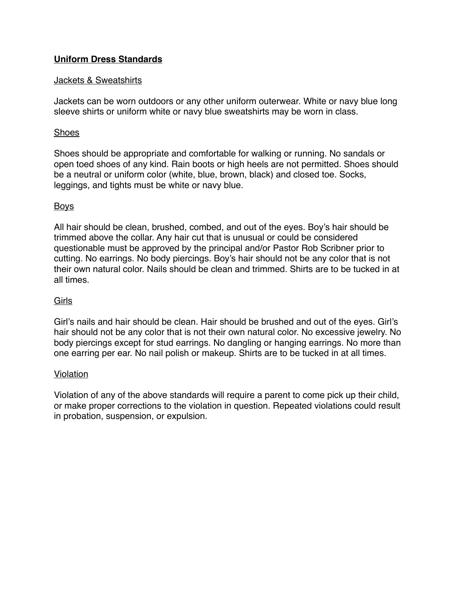## **Uniform Dress Standards**

#### Jackets & Sweatshirts

Jackets can be worn outdoors or any other uniform outerwear. White or navy blue long sleeve shirts or uniform white or navy blue sweatshirts may be worn in class.

#### Shoes

Shoes should be appropriate and comfortable for walking or running. No sandals or open toed shoes of any kind. Rain boots or high heels are not permitted. Shoes should be a neutral or uniform color (white, blue, brown, black) and closed toe. Socks, leggings, and tights must be white or navy blue.

#### Boys

All hair should be clean, brushed, combed, and out of the eyes. Boy's hair should be trimmed above the collar. Any hair cut that is unusual or could be considered questionable must be approved by the principal and/or Pastor Rob Scribner prior to cutting. No earrings. No body piercings. Boy's hair should not be any color that is not their own natural color. Nails should be clean and trimmed. Shirts are to be tucked in at all times.

## Girls

Girl's nails and hair should be clean. Hair should be brushed and out of the eyes. Girl's hair should not be any color that is not their own natural color. No excessive jewelry. No body piercings except for stud earrings. No dangling or hanging earrings. No more than one earring per ear. No nail polish or makeup. Shirts are to be tucked in at all times.

#### Violation

Violation of any of the above standards will require a parent to come pick up their child, or make proper corrections to the violation in question. Repeated violations could result in probation, suspension, or expulsion.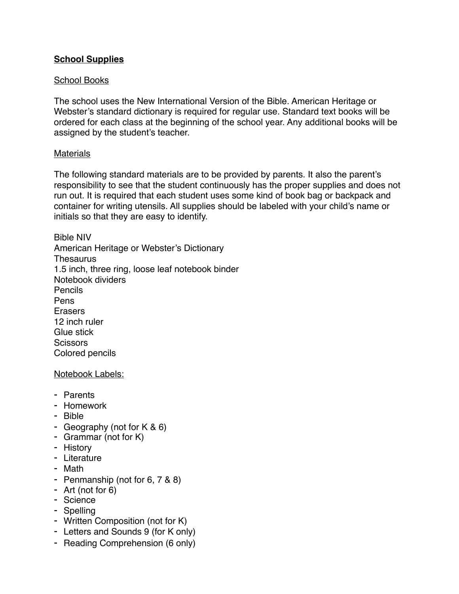## **School Supplies**

#### School Books

The school uses the New International Version of the Bible. American Heritage or Webster's standard dictionary is required for regular use. Standard text books will be ordered for each class at the beginning of the school year. Any additional books will be assigned by the student's teacher.

#### **Materials**

The following standard materials are to be provided by parents. It also the parent's responsibility to see that the student continuously has the proper supplies and does not run out. It is required that each student uses some kind of book bag or backpack and container for writing utensils. All supplies should be labeled with your child's name or initials so that they are easy to identify.

Bible NIV American Heritage or Webster's Dictionary **Thesaurus** 1.5 inch, three ring, loose leaf notebook binder Notebook dividers Pencils Pens Erasers 12 inch ruler Glue stick **Scissors** Colored pencils

#### Notebook Labels:

- Parents
- Homework
- Bible
- Geography (not for K & 6)
- Grammar (not for K)
- History
- Literature
- Math
- Penmanship (not for 6, 7 & 8)
- Art (not for 6)
- Science
- Spelling
- Written Composition (not for K)
- Letters and Sounds 9 (for K only)
- Reading Comprehension (6 only)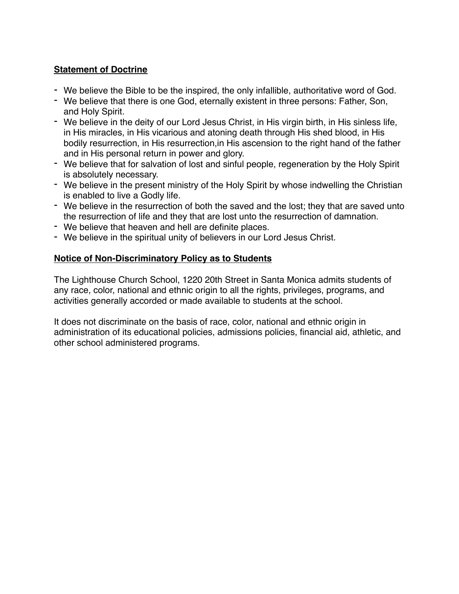# **Statement of Doctrine**

- We believe the Bible to be the inspired, the only infallible, authoritative word of God.
- We believe that there is one God, eternally existent in three persons: Father, Son, and Holy Spirit.
- We believe in the deity of our Lord Jesus Christ, in His virgin birth, in His sinless life, in His miracles, in His vicarious and atoning death through His shed blood, in His bodily resurrection, in His resurrection,in His ascension to the right hand of the father and in His personal return in power and glory.
- We believe that for salvation of lost and sinful people, regeneration by the Holy Spirit is absolutely necessary.
- We believe in the present ministry of the Holy Spirit by whose indwelling the Christian is enabled to live a Godly life.
- We believe in the resurrection of both the saved and the lost; they that are saved unto the resurrection of life and they that are lost unto the resurrection of damnation.
- We believe that heaven and hell are definite places.
- We believe in the spiritual unity of believers in our Lord Jesus Christ.

#### **Notice of Non-Discriminatory Policy as to Students**

The Lighthouse Church School, 1220 20th Street in Santa Monica admits students of any race, color, national and ethnic origin to all the rights, privileges, programs, and activities generally accorded or made available to students at the school.

It does not discriminate on the basis of race, color, national and ethnic origin in administration of its educational policies, admissions policies, financial aid, athletic, and other school administered programs.